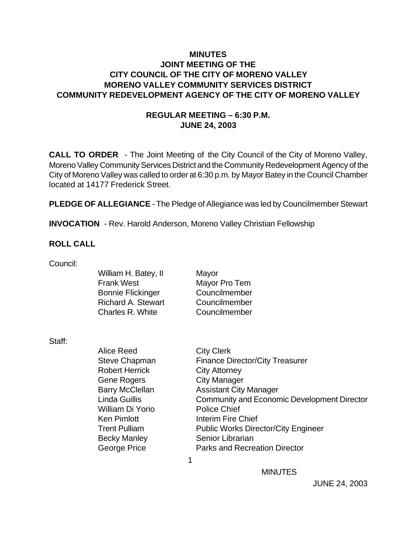### **MINUTES JOINT MEETING OF THE CITY COUNCIL OF THE CITY OF MORENO VALLEY MORENO VALLEY COMMUNITY SERVICES DISTRICT COMMUNITY REDEVELOPMENT AGENCY OF THE CITY OF MORENO VALLEY**

### **REGULAR MEETING – 6:30 P.M. JUNE 24, 2003**

**CALL TO ORDER** - The Joint Meeting of the City Council of the City of Moreno Valley, Moreno Valley Community Services District and the Community Redevelopment Agency of the City of Moreno Valley was called to order at 6:30 p.m. by Mayor Batey in the Council Chamber located at 14177 Frederick Street.

**PLEDGE OF ALLEGIANCE** - The Pledge of Allegiance was led by Councilmember Stewart

**INVOCATION** - Rev. Harold Anderson, Moreno Valley Christian Fellowship

#### **ROLL CALL**

| William H. Batey, II      | Mayor         |
|---------------------------|---------------|
| <b>Frank West</b>         | Mayor Pro Tem |
| <b>Bonnie Flickinger</b>  | Councilmember |
| <b>Richard A. Stewart</b> | Councilmember |
| Charles R. White          | Councilmember |
|                           |               |

Staff:

| Alice Reed             | <b>City Clerk</b>                                  |
|------------------------|----------------------------------------------------|
| <b>Steve Chapman</b>   | <b>Finance Director/City Treasurer</b>             |
| <b>Robert Herrick</b>  | <b>City Attorney</b>                               |
| Gene Rogers            | <b>City Manager</b>                                |
| <b>Barry McClellan</b> | <b>Assistant City Manager</b>                      |
| <b>Linda Guillis</b>   | <b>Community and Economic Development Director</b> |
| William Di Yorio       | <b>Police Chief</b>                                |
| <b>Ken Pimlott</b>     | <b>Interim Fire Chief</b>                          |
| <b>Trent Pulliam</b>   | <b>Public Works Director/City Engineer</b>         |
| <b>Becky Manley</b>    | Senior Librarian                                   |
| George Price           | <b>Parks and Recreation Director</b>               |
|                        |                                                    |
|                        |                                                    |

**MINUTES**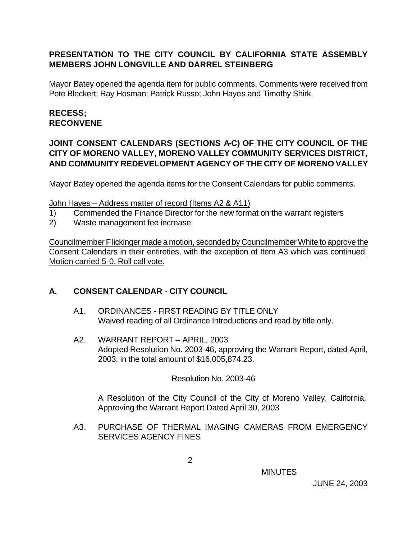## **PRESENTATION TO THE CITY COUNCIL BY CALIFORNIA STATE ASSEMBLY MEMBERS JOHN LONGVILLE AND DARREL STEINBERG**

Mayor Batey opened the agenda item for public comments. Comments were received from Pete Bleckert; Ray Hosman; Patrick Russo; John Hayes and Timothy Shirk.

## **RECESS; RECONVENE**

### **JOINT CONSENT CALENDARS (SECTIONS A-C) OF THE CITY COUNCIL OF THE CITY OF MORENO VALLEY, MORENO VALLEY COMMUNITY SERVICES DISTRICT, AND COMMUNITY REDEVELOPMENT AGENCY OF THE CITY OF MORENO VALLEY**

Mayor Batey opened the agenda items for the Consent Calendars for public comments.

#### John Hayes – Address matter of record (Items A2 & A11)

- 1) Commended the Finance Director for the new format on the warrant registers
- 2) Waste management fee increase

Councilmember Flickinger made a motion, seconded by Councilmember White to approve the Consent Calendars in their entireties, with the exception of Item A3 which was continued. Motion carried 5-0. Roll call vote.

### **A. CONSENT CALENDAR** - **CITY COUNCIL**

- A1. ORDINANCES FIRST READING BY TITLE ONLY Waived reading of all Ordinance Introductions and read by title only.
- A2. WARRANT REPORT APRIL, 2003 Adopted Resolution No. 2003-46, approving the Warrant Report, dated April, 2003, in the total amount of \$16,005,874.23.

### Resolution No. 2003-46

A Resolution of the City Council of the City of Moreno Valley, California, Approving the Warrant Report Dated April 30, 2003

A3. PURCHASE OF THERMAL IMAGING CAMERAS FROM EMERGENCY SERVICES AGENCY FINES

**MINUTES**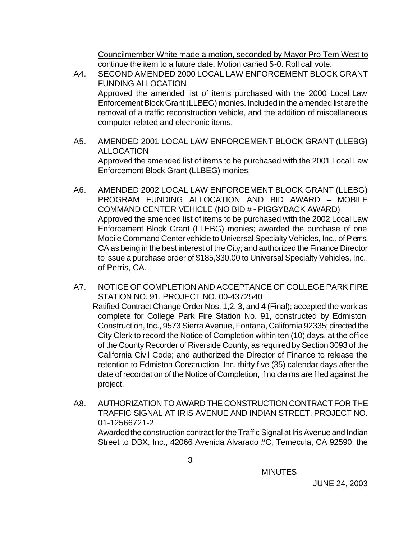Councilmember White made a motion, seconded by Mayor Pro Tem West to continue the item to a future date. Motion carried 5-0. Roll call vote.

- A4. SECOND AMENDED 2000 LOCAL LAW ENFORCEMENT BLOCK GRANT FUNDING ALLOCATION Approved the amended list of items purchased with the 2000 Local Law Enforcement Block Grant (LLBEG) monies. Included in the amended list are the removal of a traffic reconstruction vehicle, and the addition of miscellaneous computer related and electronic items.
- A5. AMENDED 2001 LOCAL LAW ENFORCEMENT BLOCK GRANT (LLEBG) ALLOCATION Approved the amended list of items to be purchased with the 2001 Local Law Enforcement Block Grant (LLBEG) monies.
- A6. AMENDED 2002 LOCAL LAW ENFORCEMENT BLOCK GRANT (LLEBG) PROGRAM FUNDING ALLOCATION AND BID AWARD – MOBILE COMMAND CENTER VEHICLE (NO BID # - PIGGYBACK AWARD) Approved the amended list of items to be purchased with the 2002 Local Law Enforcement Block Grant (LLEBG) monies; awarded the purchase of one Mobile Command Center vehicle to Universal Specialty Vehicles, Inc., of Perris, CA as being in the best interest of the City; and authorized the Finance Director to issue a purchase order of \$185,330.00 to Universal Specialty Vehicles, Inc., of Perris, CA.
- A7. NOTICE OF COMPLETION AND ACCEPTANCE OF COLLEGE PARK FIRE STATION NO. 91, PROJECT NO. 00-4372540 Ratified Contract Change Order Nos. 1,2, 3, and 4 (Final); accepted the work as complete for College Park Fire Station No. 91, constructed by Edmiston Construction, Inc., 9573 Sierra Avenue, Fontana, California 92335; directed the City Clerk to record the Notice of Completion within ten (10) days, at the office of the County Recorder of Riverside County, as required by Section 3093 of the California Civil Code; and authorized the Director of Finance to release the retention to Edmiston Construction, Inc. thirty-five (35) calendar days after the date of recordation of the Notice of Completion, if no claims are filed against the project.
- A8. AUTHORIZATION TO AWARD THE CONSTRUCTION CONTRACT FOR THE TRAFFIC SIGNAL AT IRIS AVENUE AND INDIAN STREET, PROJECT NO. 01-12566721-2 Awarded the construction contract for the Traffic Signal at Iris Avenue and Indian Street to DBX, Inc., 42066 Avenida Alvarado #C, Temecula, CA 92590, the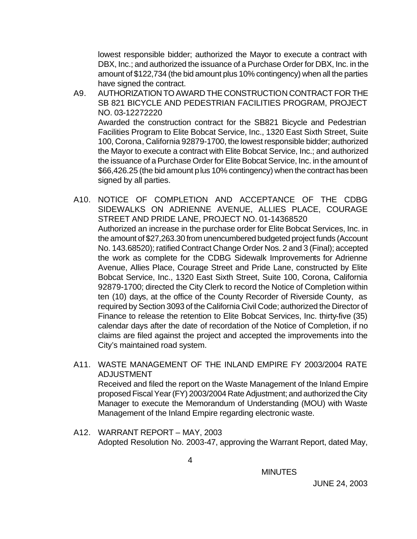lowest responsible bidder; authorized the Mayor to execute a contract with DBX, Inc.; and authorized the issuance of a Purchase Order for DBX, Inc. in the amount of \$122,734 (the bid amount plus 10% contingency) when all the parties have signed the contract.

- A9. AUTHORIZATION TO AWARD THE CONSTRUCTION CONTRACT FOR THE SB 821 BICYCLE AND PEDESTRIAN FACILITIES PROGRAM, PROJECT NO. 03-12272220 Awarded the construction contract for the SB821 Bicycle and Pedestrian Facilities Program to Elite Bobcat Service, Inc., 1320 East Sixth Street, Suite 100, Corona, California 92879-1700, the lowest responsible bidder; authorized the Mayor to execute a contract with Elite Bobcat Service, Inc.; and authorized the issuance of a Purchase Order for Elite Bobcat Service, Inc. in the amount of \$66,426.25 (the bid amount plus 10% contingency) when the contract has been signed by all parties.
- A10. NOTICE OF COMPLETION AND ACCEPTANCE OF THE CDBG SIDEWALKS ON ADRIENNE AVENUE, ALLIES PLACE, COURAGE STREET AND PRIDE LANE, PROJECT NO. 01-14368520 Authorized an increase in the purchase order for Elite Bobcat Services, Inc. in the amount of \$27,263.30 from unencumbered budgeted project funds (Account No. 143.68520); ratified Contract Change Order Nos. 2 and 3 (Final); accepted the work as complete for the CDBG Sidewalk Improvements for Adrienne Avenue, Allies Place, Courage Street and Pride Lane, constructed by Elite Bobcat Service, Inc., 1320 East Sixth Street, Suite 100, Corona, California 92879-1700; directed the City Clerk to record the Notice of Completion within ten (10) days, at the office of the County Recorder of Riverside County, as required by Section 3093 of the California Civil Code; authorized the Director of Finance to release the retention to Elite Bobcat Services, Inc. thirty-five (35) calendar days after the date of recordation of the Notice of Completion, if no claims are filed against the project and accepted the improvements into the City's maintained road system.
- A11. WASTE MANAGEMENT OF THE INLAND EMPIRE FY 2003/2004 RATE ADJUSTMENT Received and filed the report on the Waste Management of the Inland Empire proposed Fiscal Year (FY) 2003/2004 Rate Adjustment; and authorized the City Manager to execute the Memorandum of Understanding (MOU) with Waste Management of the Inland Empire regarding electronic waste.
- A12. WARRANT REPORT MAY, 2003 Adopted Resolution No. 2003-47, approving the Warrant Report, dated May,

**MINUTES**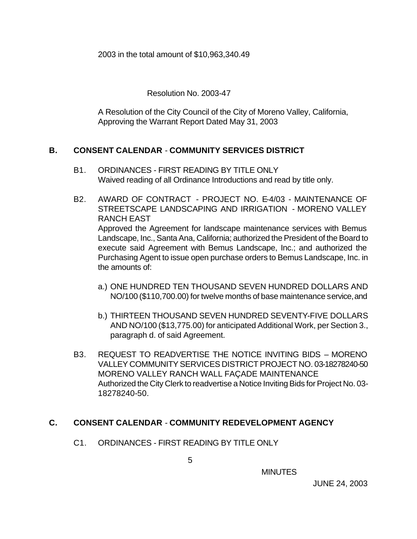2003 in the total amount of \$10,963,340.49

Resolution No. 2003-47

A Resolution of the City Council of the City of Moreno Valley, California, Approving the Warrant Report Dated May 31, 2003

## **B. CONSENT CALENDAR** - **COMMUNITY SERVICES DISTRICT**

- B1. ORDINANCES FIRST READING BY TITLE ONLY Waived reading of all Ordinance Introductions and read by title only.
- B2. AWARD OF CONTRACT PROJECT NO. E-4/03 MAINTENANCE OF STREETSCAPE LANDSCAPING AND IRRIGATION - MORENO VALLEY RANCH EAST Approved the Agreement for landscape maintenance services with Bemus Landscape, Inc., Santa Ana, California; authorized the President of the Board to execute said Agreement with Bemus Landscape, Inc.; and authorized the Purchasing Agent to issue open purchase orders to Bemus Landscape, Inc. in the amounts of:
	- a.) ONE HUNDRED TEN THOUSAND SEVEN HUNDRED DOLLARS AND NO/100 (\$110,700.00) for twelve months of base maintenance service, and
	- b.) THIRTEEN THOUSAND SEVEN HUNDRED SEVENTY-FIVE DOLLARS AND NO/100 (\$13,775.00) for anticipated Additional Work, per Section 3., paragraph d. of said Agreement.
- B3. REQUEST TO READVERTISE THE NOTICE INVITING BIDS MORENO VALLEY COMMUNITY SERVICES DISTRICT PROJECT NO. 03-18278240-50 MORENO VALLEY RANCH WALL FAÇADE MAINTENANCE Authorized the City Clerk to readvertise a Notice Inviting Bids for Project No. 03- 18278240-50.

### **C. CONSENT CALENDAR** - **COMMUNITY REDEVELOPMENT AGENCY**

C1. ORDINANCES - FIRST READING BY TITLE ONLY

 $\sim$  5

**MINUTES**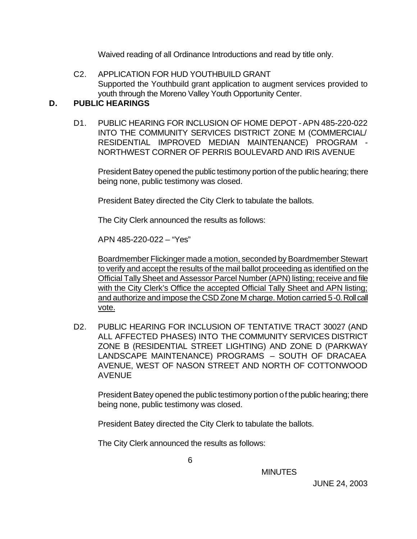Waived reading of all Ordinance Introductions and read by title only.

C2. APPLICATION FOR HUD YOUTHBUILD GRANT Supported the Youthbuild grant application to augment services provided to youth through the Moreno Valley Youth Opportunity Center.

### **D. PUBLIC HEARINGS**

D1. PUBLIC HEARING FOR INCLUSION OF HOME DEPOT - APN 485-220-022 INTO THE COMMUNITY SERVICES DISTRICT ZONE M (COMMERCIAL/ RESIDENTIAL IMPROVED MEDIAN MAINTENANCE) PROGRAM - NORTHWEST CORNER OF PERRIS BOULEVARD AND IRIS AVENUE

President Batey opened the public testimony portion of the public hearing; there being none, public testimony was closed.

President Batey directed the City Clerk to tabulate the ballots.

The City Clerk announced the results as follows:

APN 485-220-022 – "Yes"

Boardmember Flickinger made a motion, seconded by Boardmember Stewart to verify and accept the results of the mail ballot proceeding as identified on the Official Tally Sheet and Assessor Parcel Number (APN) listing; receive and file with the City Clerk's Office the accepted Official Tally Sheet and APN listing; and authorize and impose the CSD Zone M charge. Motion carried 5-0. Roll call vote.

D2. PUBLIC HEARING FOR INCLUSION OF TENTATIVE TRACT 30027 (AND ALL AFFECTED PHASES) INTO THE COMMUNITY SERVICES DISTRICT ZONE B (RESIDENTIAL STREET LIGHTING) AND ZONE D (PARKWAY LANDSCAPE MAINTENANCE) PROGRAMS – SOUTH OF DRACAEA AVENUE, WEST OF NASON STREET AND NORTH OF COTTONWOOD AVENUE

President Batey opened the public testimony portion of the public hearing; there being none, public testimony was closed.

President Batey directed the City Clerk to tabulate the ballots.

The City Clerk announced the results as follows: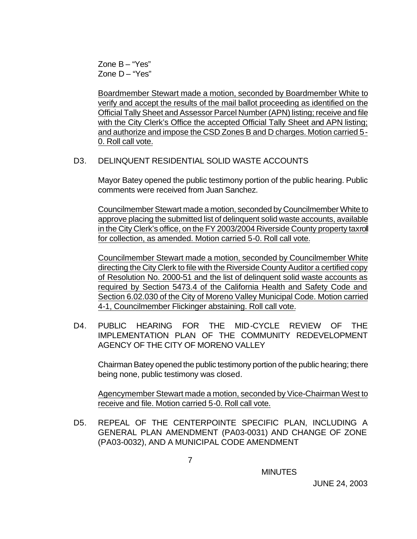Zone B – "Yes" Zone D – "Yes"

Boardmember Stewart made a motion, seconded by Boardmember White to verify and accept the results of the mail ballot proceeding as identified on the Official Tally Sheet and Assessor Parcel Number (APN) listing; receive and file with the City Clerk's Office the accepted Official Tally Sheet and APN listing; and authorize and impose the CSD Zones B and D charges. Motion carried 5- 0. Roll call vote.

#### D3. DELINQUENT RESIDENTIAL SOLID WASTE ACCOUNTS

Mayor Batey opened the public testimony portion of the public hearing. Public comments were received from Juan Sanchez.

Councilmember Stewart made a motion, seconded by Councilmember White to approve placing the submitted list of delinquent solid waste accounts, available in the City Clerk's office, on the FY 2003/2004 Riverside County property taxroll for collection, as amended. Motion carried 5-0. Roll call vote.

Councilmember Stewart made a motion, seconded by Councilmember White directing the City Clerk to file with the Riverside County Auditor a certified copy of Resolution No. 2000-51 and the list of delinquent solid waste accounts as required by Section 5473.4 of the California Health and Safety Code and Section 6.02.030 of the City of Moreno Valley Municipal Code. Motion carried 4-1, Councilmember Flickinger abstaining. Roll call vote.

D4. PUBLIC HEARING FOR THE MID-CYCLE REVIEW OF THE IMPLEMENTATION PLAN OF THE COMMUNITY REDEVELOPMENT AGENCY OF THE CITY OF MORENO VALLEY

Chairman Batey opened the public testimony portion of the public hearing; there being none, public testimony was closed.

Agencymember Stewart made a motion, seconded by Vice-Chairman West to receive and file. Motion carried 5-0. Roll call vote.

D5. REPEAL OF THE CENTERPOINTE SPECIFIC PLAN, INCLUDING A GENERAL PLAN AMENDMENT (PA03-0031) AND CHANGE OF ZONE (PA03-0032), AND A MUNICIPAL CODE AMENDMENT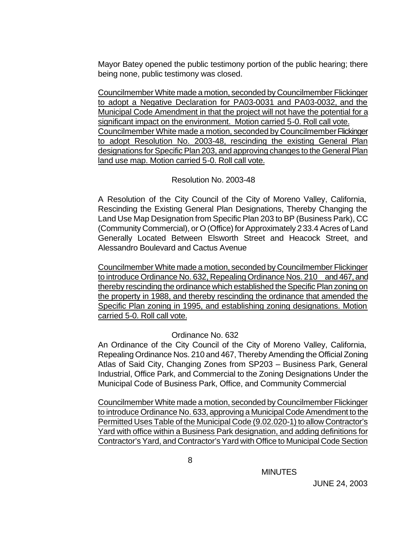Mayor Batey opened the public testimony portion of the public hearing; there being none, public testimony was closed.

Councilmember White made a motion, seconded by Councilmember Flickinger to adopt a Negative Declaration for PA03-0031 and PA03-0032, and the Municipal Code Amendment in that the project will not have the potential for a significant impact on the environment. Motion carried 5-0. Roll call vote. Councilmember White made a motion, seconded by Councilmember Flickinger to adopt Resolution No. 2003-48, rescinding the existing General Plan designations for Specific Plan 203, and approving changes to the General Plan land use map. Motion carried 5-0. Roll call vote.

#### Resolution No. 2003-48

A Resolution of the City Council of the City of Moreno Valley, California, Rescinding the Existing General Plan Designations, Thereby Changing the Land Use Map Designation from Specific Plan 203 to BP (Business Park), CC (Community Commercial), or O (Office) for Approximately 233.4 Acres of Land Generally Located Between Elsworth Street and Heacock Street, and Alessandro Boulevard and Cactus Avenue

Councilmember White made a motion, seconded by Councilmember Flickinger to introduce Ordinance No. 632, Repealing Ordinance Nos. 210 and 467, and thereby rescinding the ordinance which established the Specific Plan zoning on the property in 1988, and thereby rescinding the ordinance that amended the Specific Plan zoning in 1995, and establishing zoning designations. Motion carried 5-0. Roll call vote.

### Ordinance No. 632

An Ordinance of the City Council of the City of Moreno Valley, California, Repealing Ordinance Nos. 210 and 467, Thereby Amending the Official Zoning Atlas of Said City, Changing Zones from SP203 – Business Park, General Industrial, Office Park, and Commercial to the Zoning Designations Under the Municipal Code of Business Park, Office, and Community Commercial

Councilmember White made a motion, seconded by Councilmember Flickinger to introduce Ordinance No. 633, approving a Municipal Code Amendment to the Permitted Uses Table of the Municipal Code (9.02.020-1) to allow Contractor's Yard with office within a Business Park designation, and adding definitions for Contractor's Yard, and Contractor's Yard with Office to Municipal Code Section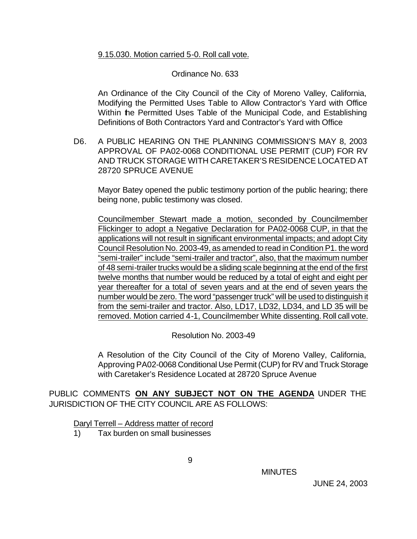#### 9.15.030. Motion carried 5-0. Roll call vote.

#### Ordinance No. 633

An Ordinance of the City Council of the City of Moreno Valley, California, Modifying the Permitted Uses Table to Allow Contractor's Yard with Office Within the Permitted Uses Table of the Municipal Code, and Establishing Definitions of Both Contractors Yard and Contractor's Yard with Office

D6. A PUBLIC HEARING ON THE PLANNING COMMISSION'S MAY 8, 2003 APPROVAL OF PA02-0068 CONDITIONAL USE PERMIT (CUP) FOR RV AND TRUCK STORAGE WITH CARETAKER'S RESIDENCE LOCATED AT 28720 SPRUCE AVENUE

Mayor Batey opened the public testimony portion of the public hearing; there being none, public testimony was closed.

Councilmember Stewart made a motion, seconded by Councilmember Flickinger to adopt a Negative Declaration for PA02-0068 CUP, in that the applications will not result in significant environmental impacts; and adopt City Council Resolution No. 2003-49, as amended to read in Condition P1. the word "semi-trailer" include "semi-trailer and tractor", also, that the maximum number of 48 semi-trailer trucks would be a sliding scale beginning at the end of the first twelve months that number would be reduced by a total of eight and eight per year thereafter for a total of seven years and at the end of seven years the number would be zero. The word "passenger truck" will be used to distinguish it from the semi-trailer and tractor. Also, LD17, LD32, LD34, and LD 35 will be removed. Motion carried 4-1, Councilmember White dissenting. Roll call vote.

Resolution No. 2003-49

A Resolution of the City Council of the City of Moreno Valley, California, Approving PA02-0068 Conditional Use Permit (CUP) for RV and Truck Storage with Caretaker's Residence Located at 28720 Spruce Avenue

PUBLIC COMMENTS **ON ANY SUBJECT NOT ON THE AGENDA** UNDER THE JURISDICTION OF THE CITY COUNCIL ARE AS FOLLOWS:

Daryl Terrell – Address matter of record

1) Tax burden on small businesses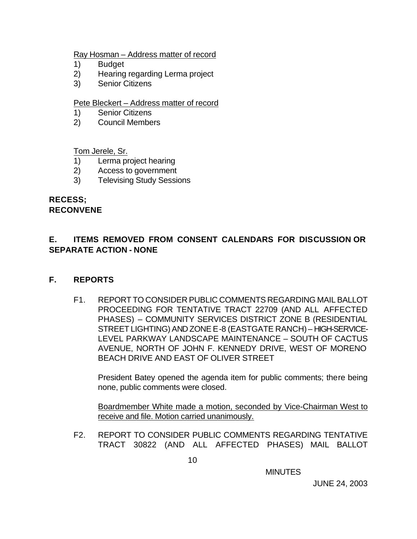#### Ray Hosman – Address matter of record

- 1) Budget
- 2) Hearing regarding Lerma project
- 3) Senior Citizens

#### Pete Bleckert – Address matter of record

- 1) Senior Citizens
- 2) Council Members

Tom Jerele, Sr.

- 1) Lerma project hearing
- 2) Access to government
- 3) Televising Study Sessions

#### **RECESS; RECONVENE**

## **E. ITEMS REMOVED FROM CONSENT CALENDARS FOR DISCUSSION OR SEPARATE ACTION - NONE**

### **F. REPORTS**

F1. REPORT TO CONSIDER PUBLIC COMMENTS REGARDING MAIL BALLOT PROCEEDING FOR TENTATIVE TRACT 22709 (AND ALL AFFECTED PHASES) – COMMUNITY SERVICES DISTRICT ZONE B (RESIDENTIAL STREET LIGHTING) AND ZONE E-8 (EASTGATE RANCH) – HIGH-SERVICE-LEVEL PARKWAY LANDSCAPE MAINTENANCE – SOUTH OF CACTUS AVENUE, NORTH OF JOHN F. KENNEDY DRIVE, WEST OF MORENO BEACH DRIVE AND EAST OF OLIVER STREET

President Batey opened the agenda item for public comments; there being none, public comments were closed.

Boardmember White made a motion, seconded by Vice-Chairman West to receive and file. Motion carried unanimously.

F2. REPORT TO CONSIDER PUBLIC COMMENTS REGARDING TENTATIVE TRACT 30822 (AND ALL AFFECTED PHASES) MAIL BALLOT

**MINUTES**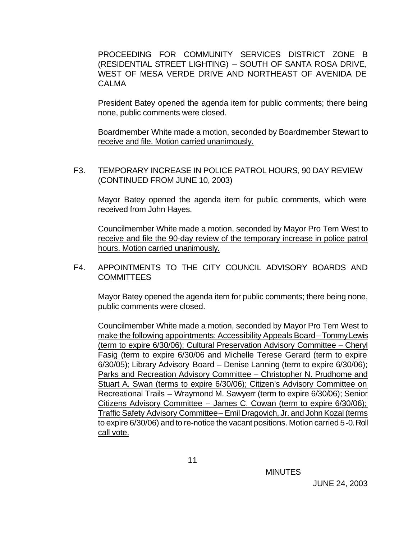PROCEEDING FOR COMMUNITY SERVICES DISTRICT ZONE B (RESIDENTIAL STREET LIGHTING) – SOUTH OF SANTA ROSA DRIVE, WEST OF MESA VERDE DRIVE AND NORTHEAST OF AVENIDA DE CALMA

President Batey opened the agenda item for public comments; there being none, public comments were closed.

Boardmember White made a motion, seconded by Boardmember Stewart to receive and file. Motion carried unanimously.

F3. TEMPORARY INCREASE IN POLICE PATROL HOURS, 90 DAY REVIEW (CONTINUED FROM JUNE 10, 2003)

Mayor Batey opened the agenda item for public comments, which were received from John Hayes.

Councilmember White made a motion, seconded by Mayor Pro Tem West to receive and file the 90-day review of the temporary increase in police patrol hours. Motion carried unanimously.

#### F4. APPOINTMENTS TO THE CITY COUNCIL ADVISORY BOARDS AND **COMMITTEES**

Mayor Batey opened the agenda item for public comments; there being none, public comments were closed.

Councilmember White made a motion, seconded by Mayor Pro Tem West to make the following appointments: Accessibility Appeals Board-Tommy Lewis (term to expire 6/30/06); Cultural Preservation Advisory Committee – Cheryl Fasig (term to expire 6/30/06 and Michelle Terese Gerard (term to expire 6/30/05); Library Advisory Board – Denise Lanning (term to expire 6/30/06); Parks and Recreation Advisory Committee – Christopher N. Prudhome and Stuart A. Swan (terms to expire 6/30/06); Citizen's Advisory Committee on Recreational Trails – Wraymond M. Sawyerr (term to expire 6/30/06); Senior Citizens Advisory Committee – James C. Cowan (term to expire 6/30/06); Traffic Safety Advisory Committee – Emil Dragovich, Jr. and John Kozal (terms to expire 6/30/06) and to re-notice the vacant positions. Motion carried 5-0. Roll call vote.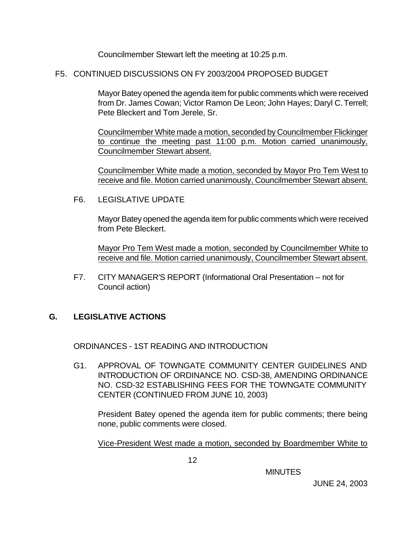Councilmember Stewart left the meeting at 10:25 p.m.

F5. CONTINUED DISCUSSIONS ON FY 2003/2004 PROPOSED BUDGET

Mayor Batey opened the agenda item for public comments which were received from Dr. James Cowan; Victor Ramon De Leon; John Hayes; Daryl C. Terrell; Pete Bleckert and Tom Jerele, Sr.

Councilmember White made a motion, seconded by Councilmember Flickinger to continue the meeting past 11:00 p.m. Motion carried unanimously, Councilmember Stewart absent.

Councilmember White made a motion, seconded by Mayor Pro Tem West to receive and file. Motion carried unanimously, Councilmember Stewart absent.

F6. LEGISLATIVE UPDATE

Mayor Batey opened the agenda item for public comments which were received from Pete Bleckert.

Mayor Pro Tem West made a motion, seconded by Councilmember White to receive and file. Motion carried unanimously, Councilmember Stewart absent.

F7. CITY MANAGER'S REPORT (Informational Oral Presentation – not for Council action)

## **G. LEGISLATIVE ACTIONS**

ORDINANCES - 1ST READING AND INTRODUCTION

G1. APPROVAL OF TOWNGATE COMMUNITY CENTER GUIDELINES AND INTRODUCTION OF ORDINANCE NO. CSD-38, AMENDING ORDINANCE NO. CSD-32 ESTABLISHING FEES FOR THE TOWNGATE COMMUNITY CENTER (CONTINUED FROM JUNE 10, 2003)

President Batey opened the agenda item for public comments; there being none, public comments were closed.

Vice-President West made a motion, seconded by Boardmember White to

**MINUTES**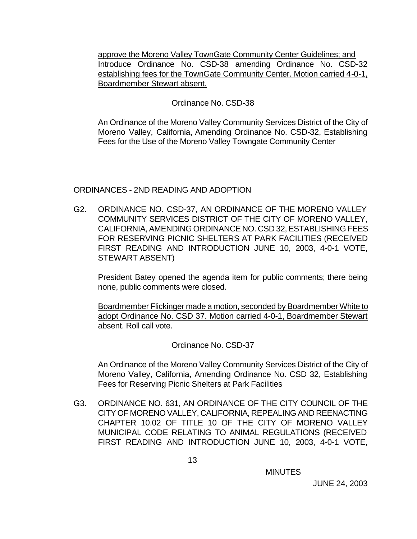approve the Moreno Valley TownGate Community Center Guidelines; and Introduce Ordinance No. CSD-38 amending Ordinance No. CSD-32 establishing fees for the TownGate Community Center. Motion carried 4-0-1, Boardmember Stewart absent.

#### Ordinance No. CSD-38

An Ordinance of the Moreno Valley Community Services District of the City of Moreno Valley, California, Amending Ordinance No. CSD-32, Establishing Fees for the Use of the Moreno Valley Towngate Community Center

#### ORDINANCES - 2ND READING AND ADOPTION

G2. ORDINANCE NO. CSD-37, AN ORDINANCE OF THE MORENO VALLEY COMMUNITY SERVICES DISTRICT OF THE CITY OF MORENO VALLEY, CALIFORNIA, AMENDING ORDINANCE NO. CSD 32, ESTABLISHING FEES FOR RESERVING PICNIC SHELTERS AT PARK FACILITIES (RECEIVED FIRST READING AND INTRODUCTION JUNE 10, 2003, 4-0-1 VOTE, STEWART ABSENT)

President Batey opened the agenda item for public comments; there being none, public comments were closed.

Boardmember Flickinger made a motion, seconded by Boardmember White to adopt Ordinance No. CSD 37. Motion carried 4-0-1, Boardmember Stewart absent. Roll call vote.

Ordinance No. CSD-37

An Ordinance of the Moreno Valley Community Services District of the City of Moreno Valley, California, Amending Ordinance No. CSD 32, Establishing Fees for Reserving Picnic Shelters at Park Facilities

G3. ORDINANCE NO. 631, AN ORDINANCE OF THE CITY COUNCIL OF THE CITY OF MORENO VALLEY, CALIFORNIA, REPEALING AND REENACTING CHAPTER 10.02 OF TITLE 10 OF THE CITY OF MORENO VALLEY MUNICIPAL CODE RELATING TO ANIMAL REGULATIONS (RECEIVED FIRST READING AND INTRODUCTION JUNE 10, 2003, 4-0-1 VOTE,

**MINUTES**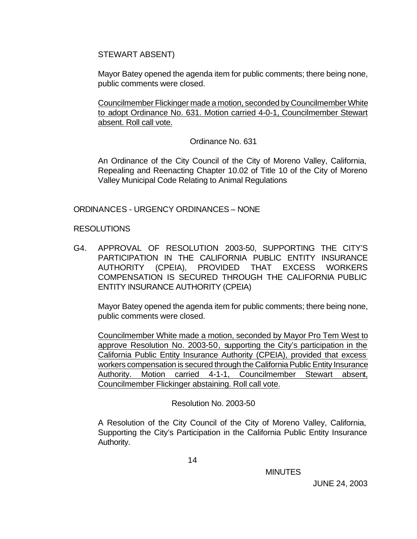STEWART ABSENT)

Mayor Batey opened the agenda item for public comments; there being none, public comments were closed.

Councilmember Flickinger made a motion, seconded by Councilmember White to adopt Ordinance No. 631. Motion carried 4-0-1, Councilmember Stewart absent. Roll call vote.

Ordinance No. 631

An Ordinance of the City Council of the City of Moreno Valley, California, Repealing and Reenacting Chapter 10.02 of Title 10 of the City of Moreno Valley Municipal Code Relating to Animal Regulations

ORDINANCES - URGENCY ORDINANCES – NONE

RESOLUTIONS

G4. APPROVAL OF RESOLUTION 2003-50, SUPPORTING THE CITY'S PARTICIPATION IN THE CALIFORNIA PUBLIC ENTITY INSURANCE AUTHORITY (CPEIA), PROVIDED THAT EXCESS WORKERS COMPENSATION IS SECURED THROUGH THE CALIFORNIA PUBLIC ENTITY INSURANCE AUTHORITY (CPEIA)

Mayor Batey opened the agenda item for public comments; there being none, public comments were closed.

Councilmember White made a motion, seconded by Mayor Pro Tem West to approve Resolution No. 2003-50, supporting the City's participation in the California Public Entity Insurance Authority (CPEIA), provided that excess workers compensation is secured through the California Public Entity Insurance Authority. Motion carried 4-1-1, Councilmember Stewart absent, Councilmember Flickinger abstaining. Roll call vote.

Resolution No. 2003-50

A Resolution of the City Council of the City of Moreno Valley, California, Supporting the City's Participation in the California Public Entity Insurance Authority.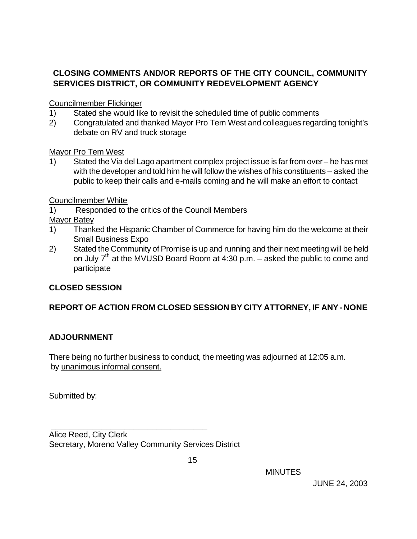## **CLOSING COMMENTS AND/OR REPORTS OF THE CITY COUNCIL, COMMUNITY SERVICES DISTRICT, OR COMMUNITY REDEVELOPMENT AGENCY**

Councilmember Flickinger

- 1) Stated she would like to revisit the scheduled time of public comments
- 2) Congratulated and thanked Mayor Pro Tem West and colleagues regarding tonight's debate on RV and truck storage

Mayor Pro Tem West

1) Stated the Via del Lago apartment complex project issue is far from over – he has met with the developer and told him he will follow the wishes of his constituents – asked the public to keep their calls and e-mails coming and he will make an effort to contact

Councilmember White

1) Responded to the critics of the Council Members

Mayor Batey

- 1) Thanked the Hispanic Chamber of Commerce for having him do the welcome at their Small Business Expo
- 2) Stated the Community of Promise is up and running and their next meeting will be held on July  $7<sup>th</sup>$  at the MVUSD Board Room at 4:30 p.m. – asked the public to come and participate

## **CLOSED SESSION**

# **REPORT OF ACTION FROM CLOSED SESSION BY CITY ATTORNEY, IF ANY - NONE**

### **ADJOURNMENT**

There being no further business to conduct, the meeting was adjourned at 12:05 a.m. by unanimous informal consent.

Submitted by:

Alice Reed, City Clerk Secretary, Moreno Valley Community Services District

\_\_\_\_\_\_\_\_\_\_\_\_\_\_\_\_\_\_\_\_\_\_\_\_\_\_\_\_\_\_\_\_\_\_

MINUTES